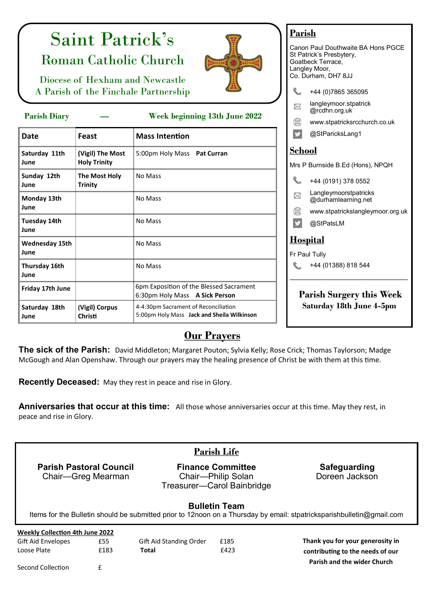# Saint Patrick's Roman Catholic Church



Diocese of Hexham and Newcastle A Parish of the Finchale Partnership

| $\cdots$                      |                                         | $\frac{1}{2}$                                                                      |  |  |
|-------------------------------|-----------------------------------------|------------------------------------------------------------------------------------|--|--|
| <b>Date</b>                   | Feast                                   | <b>Mass Intention</b>                                                              |  |  |
| Saturday 11th<br>June         | (Vigil) The Most<br><b>Holy Trinity</b> | 5:00pm Holy Mass Pat Curran                                                        |  |  |
| Sunday 12th<br>June           | The Most Holy<br><b>Trinity</b>         | No Mass                                                                            |  |  |
| Monday 13th<br>June           |                                         | No Mass                                                                            |  |  |
| Tuesday 14th<br>June          |                                         | No Mass                                                                            |  |  |
| <b>Wednesday 15th</b><br>June |                                         | No Mass                                                                            |  |  |
| Thursday 16th<br>June         |                                         | No Mass                                                                            |  |  |
| Friday 17th June              |                                         | 6pm Exposition of the Blessed Sacrament<br>6:30pm Holy Mass A Sick Person          |  |  |
| Saturday 18th<br>June         | (Vigil) Corpus<br>Christi               | 4-4:30pm Sacrament of Reconciliation<br>5:00pm Holy Mass Jack and Sheila Wilkinson |  |  |

### **Parish**

Canon Paul Douthwaite BA Hons PGCE St Patrick's Presbytery, Goatbeck Terrace, Langley Moor, Co. Durham, DH7 8JJ +44 (0)7865 365095 [langleymoor.stpatrick](mailto:langleymoor.stpatrick@rcdhn.org.uk) ⊠ [@rcdhn.org.uk](mailto:langleymoor.stpatrick@rcdhn.org.uk) **Parish Diary — Week beginning 13th June 2022** [www.stpatricksrcchurch.co.uk](http://www.stpatricksrcchurch.co.uk) @StParicksLang1 **School** P Burnside B.Ed (Hons), NPQH +44 (0191) 378 0552 Langleymoorstpatricks @durhamlearning.net www.stpatrickslangleymoor.org.uk @StPatsLM <u>bspital</u> Paul Tully +44 (01388) 818 544 ——————————————————- **Parish Surgery this Week Saturday 18th June 4-5pm**

## **Our Prayers**

**The sick of the Parish:** David Middleton; Margaret Pouton; Sylvia Kelly; Rose Crick; Thomas Taylorson; Madge McGough and Alan Openshaw. Through our prayers may the healing presence of Christ be with them at this time.

**Recently Deceased:** May they rest in peace and rise in Glory.

**Anniversaries that occur at this time:** All those whose anniversaries occur at this time. May they rest, in peace and rise in Glory.

| <b>Parish Life</b>                                                                                                                            |                    |                         |                                                                              |                                                                        |  |  |  |
|-----------------------------------------------------------------------------------------------------------------------------------------------|--------------------|-------------------------|------------------------------------------------------------------------------|------------------------------------------------------------------------|--|--|--|
| <b>Parish Pastoral Council</b>                                                                                                                | Chair—Greg Mearman |                         | <b>Finance Committee</b><br>Chair-Philip Solan<br>Treasurer-Carol Bainbridge | <b>Safeguarding</b><br>Doreen Jackson                                  |  |  |  |
| <b>Bulletin Team</b><br>Items for the Bulletin should be submitted prior to 12noon on a Thursday by email: stpatricksparishbulletin@gmail.com |                    |                         |                                                                              |                                                                        |  |  |  |
| <b>Weekly Collection 4th June 2022</b>                                                                                                        |                    |                         |                                                                              |                                                                        |  |  |  |
| Gift Aid Envelopes                                                                                                                            | £55                | Gift Aid Standing Order | £185                                                                         | Thank you for your generosity in                                       |  |  |  |
| Loose Plate                                                                                                                                   | £183               | <b>Total</b>            | £423                                                                         | contributing to the needs of our<br><b>Parish and the wider Church</b> |  |  |  |

Second Collection **E**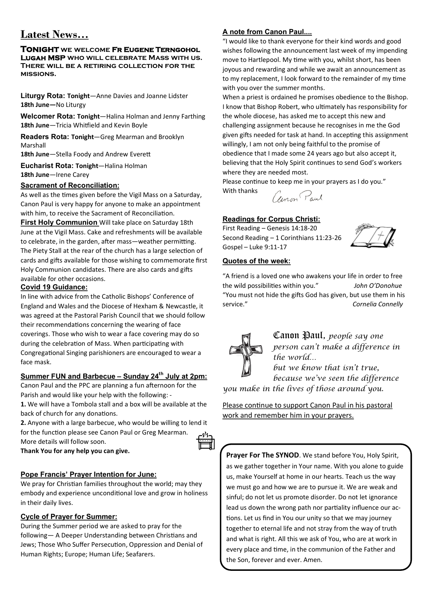## **Latest News…**

#### **Tonight we welcome Fr Eugene Terngohol Lugah MSP who will celebrate Mass with us. There will be a retiring collection for the missions.**

**Liturgy Rota: Tonight**—Anne Davies and Joanne Lidster **18th June—**No Liturgy

**Welcomer Rota: Tonight**—Halina Holman and Jenny Farthing **18th June**—Tricia Whitfield and Kevin Boyle

**Readers Rota: Tonight**—Greg Mearman and Brooklyn Marshall

**18th June**—Stella Foody and Andrew Everett

**Eucharist Rota: Tonight**—Halina Holman **18th June**—Irene Carey

#### **Sacrament of Reconciliation:**

As well as the times given before the Vigil Mass on a Saturday, Canon Paul is very happy for anyone to make an appointment with him, to receive the Sacrament of Reconciliation.

**First Holy Communion** Will take place on Saturday 18th June at the Vigil Mass. Cake and refreshments will be available to celebrate, in the garden, after mass—weather permitting. The Piety Stall at the rear of the church has a large selection of cards and gifts available for those wishing to commemorate first Holy Communion candidates. There are also cards and gifts available for other occasions.

#### **Covid 19 Guidance:**

In line with advice from the Catholic Bishops' Conference of England and Wales and the Diocese of Hexham & Newcastle, it was agreed at the Pastoral Parish Council that we should follow their recommendations concerning the wearing of face coverings. Those who wish to wear a face covering may do so during the celebration of Mass. When participating with Congregational Singing parishioners are encouraged to wear a face mask.

#### **Summer FUN and Barbecue – Sunday 24th July at 2pm:**

Canon Paul and the PPC are planning a fun afternoon for the Parish and would like your help with the following: -

**1.** We will have a Tombola stall and a box will be available at the back of church for any donations.

**2.** Anyone with a large barbecue, who would be willing to lend it for the function please see Canon Paul or Greg Mearman. More details will follow soon.

**Thank You for any help you can give.** 

#### **Pope Francis' Prayer Intention for June:**

We pray for Christian families throughout the world; may they embody and experience unconditional love and grow in holiness in their daily lives.

#### **Cycle of Prayer for Summer:**

During the Summer period we are asked to pray for the following— A Deeper Understanding between Christians and Jews; Those Who Suffer Persecution, Oppression and Denial of Human Rights; Europe; Human Life; Seafarers.

#### **A note from Canon Paul....**

"I would like to thank everyone for their kind words and good wishes following the announcement last week of my impending move to Hartlepool. My time with you, whilst short, has been joyous and rewarding and while we await an announcement as to my replacement, I look forward to the remainder of my time with you over the summer months.

When a priest is ordained he promises obedience to the Bishop. I know that Bishop Robert, who ultimately has responsibility for the whole diocese, has asked me to accept this new and challenging assignment because he recognises in me the God given gifts needed for task at hand. In accepting this assignment willingly, I am not only being faithful to the promise of obedience that I made some 24 years ago but also accept it, believing that the Holy Spirit continues to send God's workers where they are needed most.

Please continue to keep me in your prayers as I do you."



#### **Readings for Corpus Christi:**

First Reading – Genesis 14:18-20 Second Reading – 1 Corinthians 11:23-26 Gospel – Luke 9:11-17



#### **Quotes of the week:**

With thanks

"A friend is a loved one who awakens your life in order to free the wild possibilities within you." *John O'Donohue*  "You must not hide the gifts God has given, but use them in his service." *Cornelia Connelly*



Canon Paul, *people say one person can't make a difference in the world… but we know that isn't true,* 

*because we've seen the difference you make in the lives of those around you.* 

Please continue to support Canon Paul in his pastoral work and remember him in your prayers.

Prayer For The SYNOD. We stand before You, Holy Spirit, as we gather together in Your name. With you alone to guide us, make Yourself at home in our hearts. Teach us the way we must go and how we are to pursue it. We are weak and sinful; do not let us promote disorder. Do not let ignorance lead us down the wrong path nor partiality influence our actions. Let us find in You our unity so that we may journey together to eternal life and not stray from the way of truth and what is right. All this we ask of You, who are at work in every place and time, in the communion of the Father and the Son, forever and ever. Amen.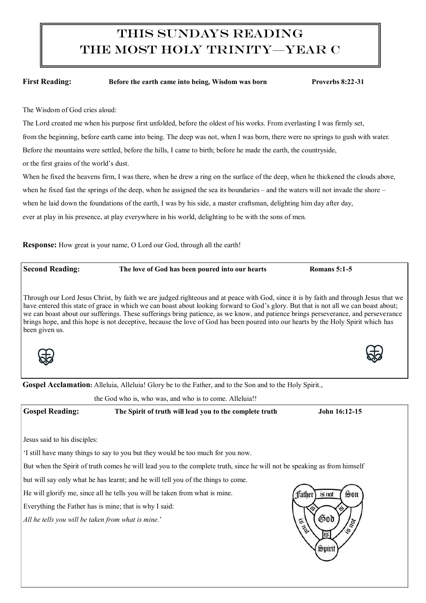# This Sundays Reading The most holy trinity—Year C

First Reading: Before the earth came into being, Wisdom was born Proverbs 8:22-31

The Wisdom of God cries aloud:

## The Lord created me when his purpose first unfolded, before the oldest of his works. From everlasting I was firmly set, from the beginning, before earth came into being. The deep was not, when I was born, there were no springs to gush with water. Before the mountains were settled, before the hills, I came to birth; before he made the earth, the countryside, or the first grains of the world's dust. When he fixed the heavens firm, I was there, when he drew a ring on the surface of the deep, when he thickened the clouds above, when he fixed fast the springs of the deep, when he assigned the sea its boundaries – and the waters will not invade the shore – when he laid down the foundations of the earth, I was by his side, a master craftsman, delighting him day after day, ever at play in his presence, at play everywhere in his world, delighting to be with the sons of men. **Response:** How great is your name, O Lord our God, through all the earth! **Second Reading: The love of God has been poured into our hearts Romans 5:1-5** Through our Lord Jesus Christ, by faith we are judged righteous and at peace with God, since it is by faith and through Jesus that we have entered this state of grace in which we can boast about looking forward to God's glory. But that is not all we can boast about; we can boast about our sufferings. These sufferings bring patience, as we know, and patience brings perseverance, and perseverance brings hope, and this hope is not deceptive, because the love of God has been poured into our hearts by the Holy Spirit which has been given us. Gospel Acclamation: Alleluia, Alleluia! Glory be to the Father, and to the Son and to the Holy Spirit., the God who is, who was, and who is to come. Alleluia!! **Gospel Reading: The Spirit of truth will lead you to the complete truth John 16:12-15** Jesus said to his disciples: 'I still have many things to say to you but they would be too much for you now. But when the Spirit of truth comes he will lead you to the complete truth, since he will not be speaking as from himself but will say only what he has learnt; and he will tell you of the things to come. He will glorify me, since all he tells you will be taken from what is mine. ffather Son is not Everything the Father has is mine; that is why I said: God *All he tells you will be taken from what is mine.*' IG Sviri